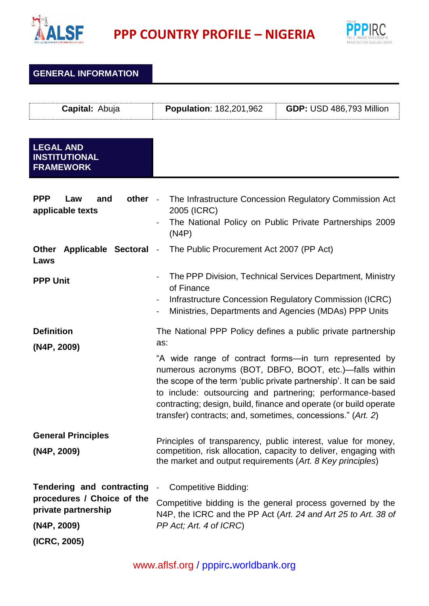

**PPP COUNTRY PROFILE – NIGERIA**



| <b>GENERAL INFORMATION</b>                                                                           |                                                                                                                                                                                                                                                                                                                                                                                                |
|------------------------------------------------------------------------------------------------------|------------------------------------------------------------------------------------------------------------------------------------------------------------------------------------------------------------------------------------------------------------------------------------------------------------------------------------------------------------------------------------------------|
| Capital: Abuja                                                                                       | <b>Population: 182,201,962</b><br><b>GDP: USD 486,793 Million</b>                                                                                                                                                                                                                                                                                                                              |
| <b>LEGAL AND</b><br><b>INSTITUTIONAL</b><br><b>FRAMEWORK</b>                                         |                                                                                                                                                                                                                                                                                                                                                                                                |
| <b>PPP</b><br>other -<br>Law<br>and<br>applicable texts                                              | The Infrastructure Concession Regulatory Commission Act<br>2005 (ICRC)<br>The National Policy on Public Private Partnerships 2009<br>(N4P)                                                                                                                                                                                                                                                     |
| Applicable Sectoral<br><b>Other</b><br>Laws                                                          | The Public Procurement Act 2007 (PP Act)                                                                                                                                                                                                                                                                                                                                                       |
| <b>PPP Unit</b>                                                                                      | The PPP Division, Technical Services Department, Ministry<br>of Finance<br>Infrastructure Concession Regulatory Commission (ICRC)<br>Ministries, Departments and Agencies (MDAs) PPP Units<br>$\blacksquare$                                                                                                                                                                                   |
| <b>Definition</b>                                                                                    | The National PPP Policy defines a public private partnership                                                                                                                                                                                                                                                                                                                                   |
| (N4P, 2009)                                                                                          | as:<br>"A wide range of contract forms—in turn represented by<br>numerous acronyms (BOT, DBFO, BOOT, etc.)—falls within<br>the scope of the term 'public private partnership'. It can be said<br>to include: outsourcing and partnering; performance-based<br>contracting; design, build, finance and operate (or build operate<br>transfer) contracts; and, sometimes, concessions." (Art. 2) |
| <b>General Principles</b><br>(N4P, 2009)                                                             | Principles of transparency, public interest, value for money,<br>competition, risk allocation, capacity to deliver, engaging with<br>the market and output requirements (Art. 8 Key principles)                                                                                                                                                                                                |
| <b>Tendering and contracting</b><br>procedures / Choice of the<br>private partnership<br>(N4P, 2009) | <b>Competitive Bidding:</b><br>Competitive bidding is the general process governed by the<br>N4P, the ICRC and the PP Act (Art. 24 and Art 25 to Art. 38 of<br>PP Act; Art. 4 of ICRC)                                                                                                                                                                                                         |
| (ICRC, 2005)                                                                                         |                                                                                                                                                                                                                                                                                                                                                                                                |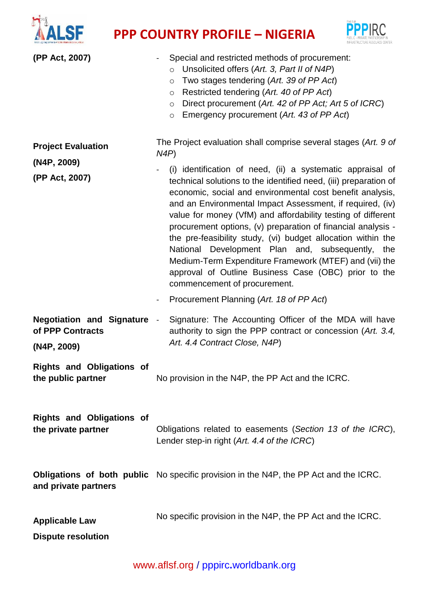

## **PPP** COUNTRY PROFILE – NIGERIA



| (PP Act, 2007)<br><b>Project Evaluation</b>                         | Special and restricted methods of procurement:<br>Unsolicited offers (Art. 3, Part II of N4P)<br>$\circ$<br>Two stages tendering (Art. 39 of PP Act)<br>$\circ$<br>Restricted tendering (Art. 40 of PP Act)<br>O<br>Direct procurement (Art. 42 of PP Act; Art 5 of ICRC)<br>$\circ$<br>Emergency procurement (Art. 43 of PP Act)<br>$\circ$<br>The Project evaluation shall comprise several stages (Art. 9 of                                                                                                                                                                                                                                                                                                   |
|---------------------------------------------------------------------|-------------------------------------------------------------------------------------------------------------------------------------------------------------------------------------------------------------------------------------------------------------------------------------------------------------------------------------------------------------------------------------------------------------------------------------------------------------------------------------------------------------------------------------------------------------------------------------------------------------------------------------------------------------------------------------------------------------------|
| (N4P, 2009)<br>(PP Act, 2007)                                       | N4P<br>(i) identification of need, (ii) a systematic appraisal of<br>technical solutions to the identified need, (iii) preparation of<br>economic, social and environmental cost benefit analysis,<br>and an Environmental Impact Assessment, if required, (iv)<br>value for money (VfM) and affordability testing of different<br>procurement options, (v) preparation of financial analysis -<br>the pre-feasibility study, (vi) budget allocation within the<br>National Development Plan and, subsequently, the<br>Medium-Term Expenditure Framework (MTEF) and (vii) the<br>approval of Outline Business Case (OBC) prior to the<br>commencement of procurement.<br>Procurement Planning (Art. 18 of PP Act) |
| <b>Negotiation and Signature</b><br>of PPP Contracts<br>(N4P, 2009) | Signature: The Accounting Officer of the MDA will have<br>$\sim$<br>authority to sign the PPP contract or concession (Art. 3.4,<br>Art. 4.4 Contract Close, N4P)                                                                                                                                                                                                                                                                                                                                                                                                                                                                                                                                                  |
| <b>Rights and Obligations of</b><br>the public partner              | No provision in the N4P, the PP Act and the ICRC.                                                                                                                                                                                                                                                                                                                                                                                                                                                                                                                                                                                                                                                                 |
| <b>Rights and Obligations of</b><br>the private partner             | Obligations related to easements (Section 13 of the ICRC),<br>Lender step-in right (Art. 4.4 of the ICRC)                                                                                                                                                                                                                                                                                                                                                                                                                                                                                                                                                                                                         |
| and private partners                                                | <b>Obligations of both public</b> No specific provision in the N4P, the PP Act and the ICRC.                                                                                                                                                                                                                                                                                                                                                                                                                                                                                                                                                                                                                      |
| <b>Applicable Law</b><br><b>Dispute resolution</b>                  | No specific provision in the N4P, the PP Act and the ICRC.                                                                                                                                                                                                                                                                                                                                                                                                                                                                                                                                                                                                                                                        |

[www.aflsf.org](http://www.aflsf.org/) / pppirc**.**[worldbank.org](https://ppp.worldbank.org/public-private-partnership/)